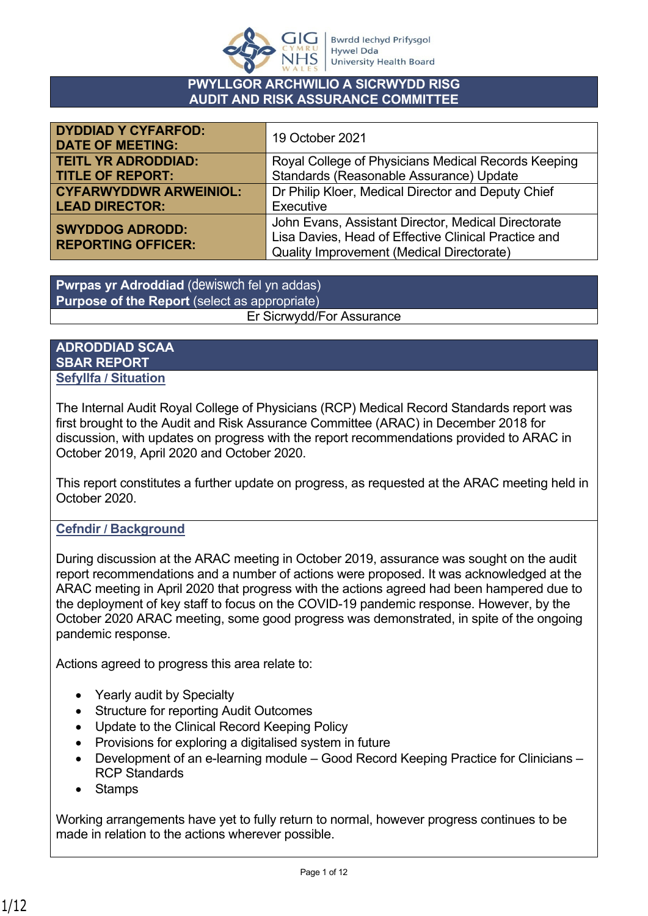

#### **PWYLLGOR ARCHWILIO A SICRWYDD RISG AUDIT AND RISK ASSURANCE COMMITTEE**

| <b>DYDDIAD Y CYFARFOD:</b><br><b>DATE OF MEETING:</b> | 19 October 2021                                      |  |  |
|-------------------------------------------------------|------------------------------------------------------|--|--|
| <b>TEITL YR ADRODDIAD:</b>                            | Royal College of Physicians Medical Records Keeping  |  |  |
| <b>TITLE OF REPORT:</b>                               | Standards (Reasonable Assurance) Update              |  |  |
| <b>CYFARWYDDWR ARWEINIOL:</b>                         | Dr Philip Kloer, Medical Director and Deputy Chief   |  |  |
| <b>LEAD DIRECTOR:</b>                                 | Executive                                            |  |  |
| <b>SWYDDOG ADRODD:</b>                                | John Evans, Assistant Director, Medical Directorate  |  |  |
| <b>REPORTING OFFICER:</b>                             | Lisa Davies, Head of Effective Clinical Practice and |  |  |
|                                                       | <b>Quality Improvement (Medical Directorate)</b>     |  |  |

**Pwrpas yr Adroddiad** (dewiswch fel yn addas) **Purpose of the Report** (select as appropriate) Er Sicrwydd/For Assurance

#### **ADRODDIAD SCAA SBAR REPORT Sefyllfa / Situation**

The Internal Audit Royal College of Physicians (RCP) Medical Record Standards report was first brought to the Audit and Risk Assurance Committee (ARAC) in December 2018 for discussion, with updates on progress with the report recommendations provided to ARAC in October 2019, April 2020 and October 2020.

This report constitutes a further update on progress, as requested at the ARAC meeting held in October 2020.

### **Cefndir / Background**

During discussion at the ARAC meeting in October 2019, assurance was sought on the audit report recommendations and a number of actions were proposed. It was acknowledged at the ARAC meeting in April 2020 that progress with the actions agreed had been hampered due to the deployment of key staff to focus on the COVID-19 pandemic response. However, by the October 2020 ARAC meeting, some good progress was demonstrated, in spite of the ongoing pandemic response.

Actions agreed to progress this area relate to:

- Yearly audit by Specialty
- Structure for reporting Audit Outcomes
- Update to the Clinical Record Keeping Policy
- Provisions for exploring a digitalised system in future
- Development of an e-learning module Good Record Keeping Practice for Clinicians RCP Standards
- Stamps

Working arrangements have yet to fully return to normal, however progress continues to be made in relation to the actions wherever possible.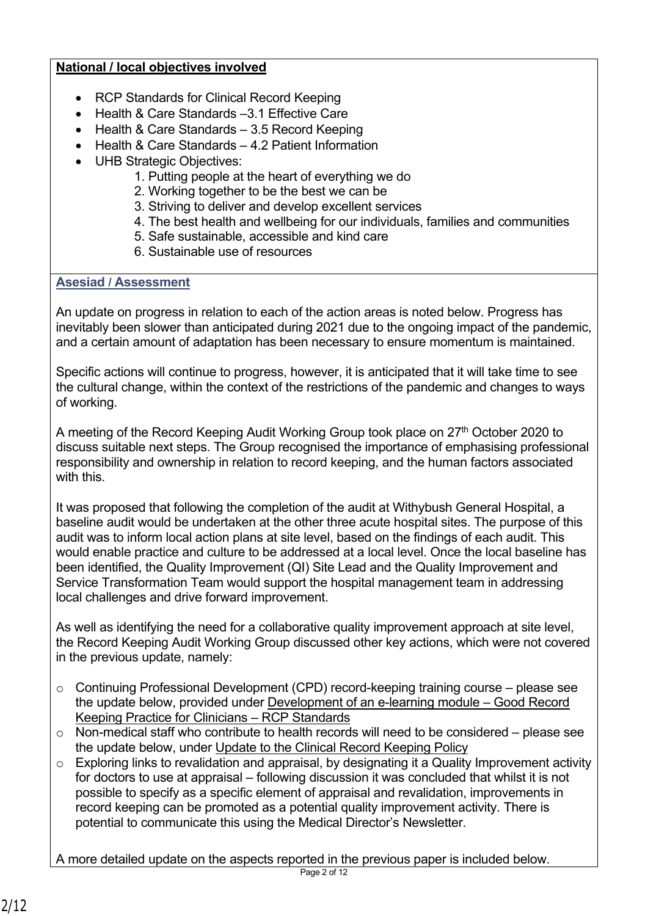### **National / local objectives involved**

- RCP Standards for Clinical Record Keeping
- Health & Care Standards -3.1 Effective Care
- $\bullet$  Health & Care Standards  $-3.5$  Record Keeping
- Health & Care Standards 4.2 Patient Information
- UHB Strategic Objectives:
	- 1. Putting people at the heart of everything we do
	- 2. Working together to be the best we can be
	- 3. Striving to deliver and develop excellent services
	- 4. The best health and wellbeing for our individuals, families and communities
	- 5. Safe sustainable, accessible and kind care
	- 6. Sustainable use of resources

## **Asesiad / Assessment**

An update on progress in relation to each of the action areas is noted below. Progress has inevitably been slower than anticipated during 2021 due to the ongoing impact of the pandemic, and a certain amount of adaptation has been necessary to ensure momentum is maintained.

Specific actions will continue to progress, however, it is anticipated that it will take time to see the cultural change, within the context of the restrictions of the pandemic and changes to ways of working.

A meeting of the Record Keeping Audit Working Group took place on 27<sup>th</sup> October 2020 to discuss suitable next steps. The Group recognised the importance of emphasising professional responsibility and ownership in relation to record keeping, and the human factors associated with this.

It was proposed that following the completion of the audit at Withybush General Hospital, a baseline audit would be undertaken at the other three acute hospital sites. The purpose of this audit was to inform local action plans at site level, based on the findings of each audit. This would enable practice and culture to be addressed at a local level. Once the local baseline has been identified, the Quality Improvement (QI) Site Lead and the Quality Improvement and Service Transformation Team would support the hospital management team in addressing local challenges and drive forward improvement.

As well as identifying the need for a collaborative quality improvement approach at site level, the Record Keeping Audit Working Group discussed other key actions, which were not covered in the previous update, namely:

- o Continuing Professional Development (CPD) record-keeping training course please see the update below, provided under Development of an e-learning module – Good Record Keeping Practice for Clinicians – RCP Standards
- $\circ$  Non-medical staff who contribute to health records will need to be considered please see the update below, under Update to the Clinical Record Keeping Policy
- o Exploring links to revalidation and appraisal, by designating it a Quality Improvement activity for doctors to use at appraisal – following discussion it was concluded that whilst it is not possible to specify as a specific element of appraisal and revalidation, improvements in record keeping can be promoted as a potential quality improvement activity. There is potential to communicate this using the Medical Director's Newsletter.

A more detailed update on the aspects reported in the previous paper is included below.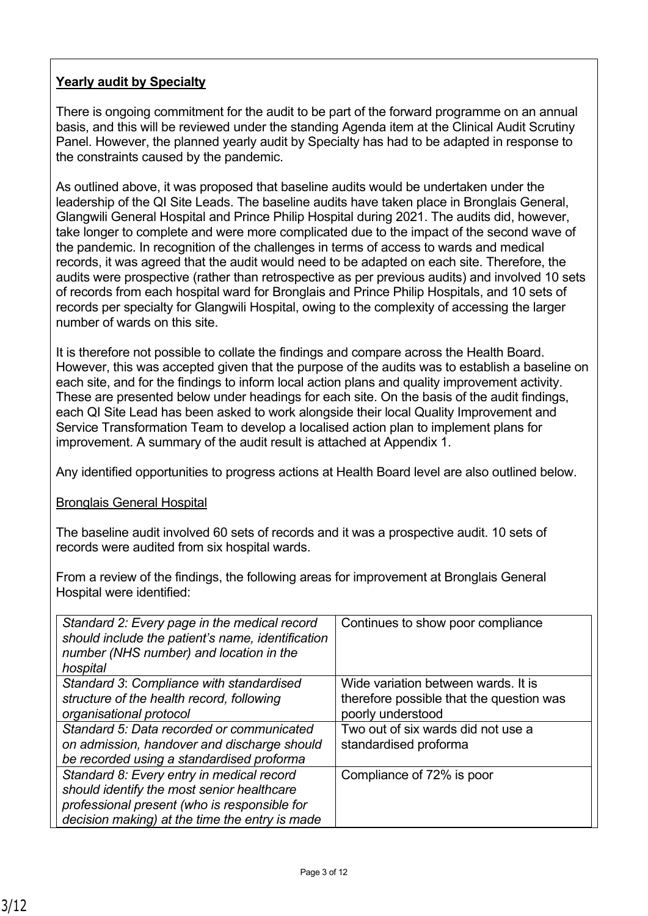# **Yearly audit by Specialty**

There is ongoing commitment for the audit to be part of the forward programme on an annual basis, and this will be reviewed under the standing Agenda item at the Clinical Audit Scrutiny Panel. However, the planned yearly audit by Specialty has had to be adapted in response to the constraints caused by the pandemic.

As outlined above, it was proposed that baseline audits would be undertaken under the leadership of the QI Site Leads. The baseline audits have taken place in Bronglais General, Glangwili General Hospital and Prince Philip Hospital during 2021. The audits did, however, take longer to complete and were more complicated due to the impact of the second wave of the pandemic. In recognition of the challenges in terms of access to wards and medical records, it was agreed that the audit would need to be adapted on each site. Therefore, the audits were prospective (rather than retrospective as per previous audits) and involved 10 sets of records from each hospital ward for Bronglais and Prince Philip Hospitals, and 10 sets of records per specialty for Glangwili Hospital, owing to the complexity of accessing the larger number of wards on this site.

It is therefore not possible to collate the findings and compare across the Health Board. However, this was accepted given that the purpose of the audits was to establish a baseline on each site, and for the findings to inform local action plans and quality improvement activity. These are presented below under headings for each site. On the basis of the audit findings, each QI Site Lead has been asked to work alongside their local Quality Improvement and Service Transformation Team to develop a localised action plan to implement plans for improvement. A summary of the audit result is attached at Appendix 1.

Any identified opportunities to progress actions at Health Board level are also outlined below.

### Bronglais General Hospital

The baseline audit involved 60 sets of records and it was a prospective audit. 10 sets of records were audited from six hospital wards.

From a review of the findings, the following areas for improvement at Bronglais General Hospital were identified:

| Standard 2: Every page in the medical record<br>should include the patient's name, identification<br>number (NHS number) and location in the<br>hospital                                  | Continues to show poor compliance                                                                    |  |  |
|-------------------------------------------------------------------------------------------------------------------------------------------------------------------------------------------|------------------------------------------------------------------------------------------------------|--|--|
| Standard 3: Compliance with standardised<br>structure of the health record, following<br>organisational protocol                                                                          | Wide variation between wards. It is<br>therefore possible that the question was<br>poorly understood |  |  |
| Standard 5: Data recorded or communicated<br>on admission, handover and discharge should<br>be recorded using a standardised proforma                                                     | Two out of six wards did not use a<br>standardised proforma                                          |  |  |
| Standard 8: Every entry in medical record<br>should identify the most senior healthcare<br>professional present (who is responsible for<br>decision making) at the time the entry is made | Compliance of 72% is poor                                                                            |  |  |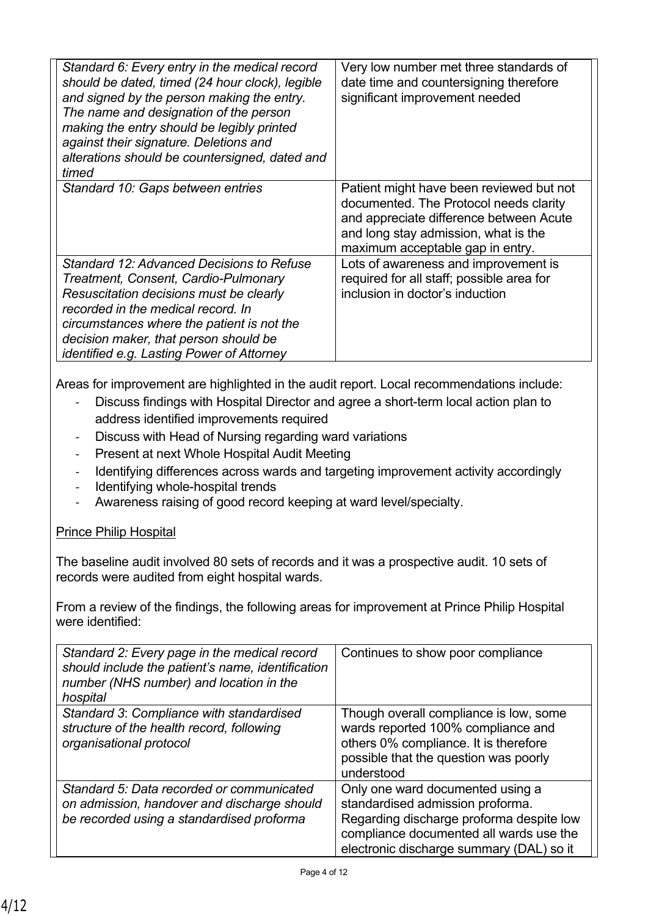| Standard 6: Every entry in the medical record<br>should be dated, timed (24 hour clock), legible<br>and signed by the person making the entry.<br>The name and designation of the person<br>making the entry should be legibly printed<br>against their signature. Deletions and<br>alterations should be countersigned, dated and<br>timed | Very low number met three standards of<br>date time and countersigning therefore<br>significant improvement needed                                                                                        |
|---------------------------------------------------------------------------------------------------------------------------------------------------------------------------------------------------------------------------------------------------------------------------------------------------------------------------------------------|-----------------------------------------------------------------------------------------------------------------------------------------------------------------------------------------------------------|
| Standard 10: Gaps between entries                                                                                                                                                                                                                                                                                                           | Patient might have been reviewed but not<br>documented. The Protocol needs clarity<br>and appreciate difference between Acute<br>and long stay admission, what is the<br>maximum acceptable gap in entry. |
| Standard 12: Advanced Decisions to Refuse                                                                                                                                                                                                                                                                                                   | Lots of awareness and improvement is                                                                                                                                                                      |
| Treatment, Consent, Cardio-Pulmonary                                                                                                                                                                                                                                                                                                        | required for all staff; possible area for                                                                                                                                                                 |
| Resuscitation decisions must be clearly                                                                                                                                                                                                                                                                                                     | inclusion in doctor's induction                                                                                                                                                                           |
| recorded in the medical record. In                                                                                                                                                                                                                                                                                                          |                                                                                                                                                                                                           |
| circumstances where the patient is not the                                                                                                                                                                                                                                                                                                  |                                                                                                                                                                                                           |
| decision maker, that person should be                                                                                                                                                                                                                                                                                                       |                                                                                                                                                                                                           |
| identified e.g. Lasting Power of Attorney                                                                                                                                                                                                                                                                                                   |                                                                                                                                                                                                           |

Areas for improvement are highlighted in the audit report. Local recommendations include:

- Discuss findings with Hospital Director and agree a short-term local action plan to address identified improvements required
- Discuss with Head of Nursing regarding ward variations
- Present at next Whole Hospital Audit Meeting
- Identifying differences across wards and targeting improvement activity accordingly
- Identifying whole-hospital trends
- Awareness raising of good record keeping at ward level/specialty.

# Prince Philip Hospital

The baseline audit involved 80 sets of records and it was a prospective audit. 10 sets of records were audited from eight hospital wards.

From a review of the findings, the following areas for improvement at Prince Philip Hospital were identified:

| Standard 2: Every page in the medical record<br>should include the patient's name, identification<br>number (NHS number) and location in the<br>hospital | Continues to show poor compliance                                                                                                                                                                       |
|----------------------------------------------------------------------------------------------------------------------------------------------------------|---------------------------------------------------------------------------------------------------------------------------------------------------------------------------------------------------------|
| Standard 3: Compliance with standardised<br>structure of the health record, following<br>organisational protocol                                         | Though overall compliance is low, some<br>wards reported 100% compliance and<br>others 0% compliance. It is therefore<br>possible that the question was poorly<br>understood                            |
| Standard 5: Data recorded or communicated<br>on admission, handover and discharge should<br>be recorded using a standardised proforma                    | Only one ward documented using a<br>standardised admission proforma.<br>Regarding discharge proforma despite low<br>compliance documented all wards use the<br>electronic discharge summary (DAL) so it |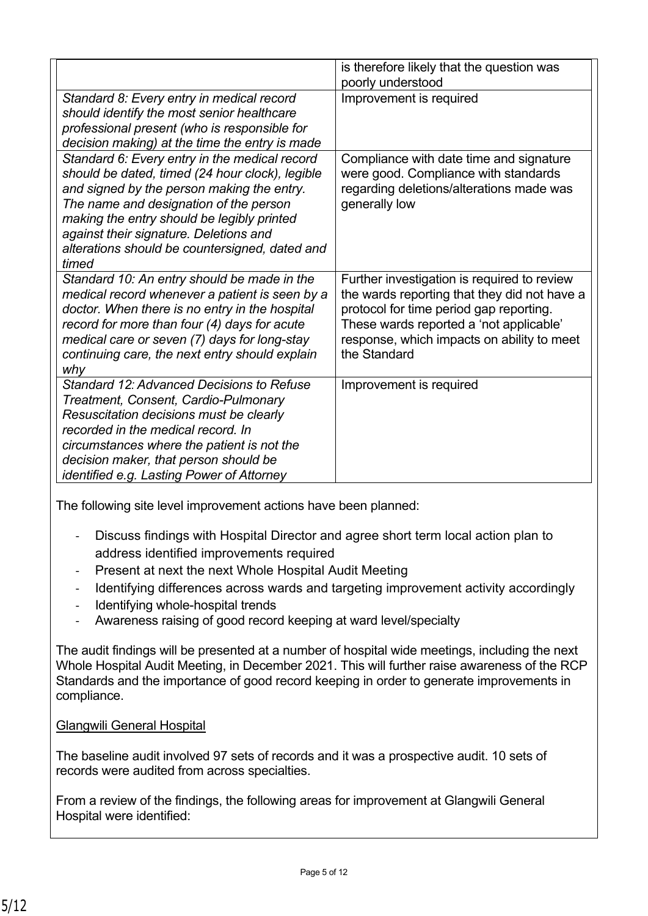|                                                                                                                                                                                                                                                                                                                                             | is therefore likely that the question was                                                                                                                                                                                                       |  |  |
|---------------------------------------------------------------------------------------------------------------------------------------------------------------------------------------------------------------------------------------------------------------------------------------------------------------------------------------------|-------------------------------------------------------------------------------------------------------------------------------------------------------------------------------------------------------------------------------------------------|--|--|
|                                                                                                                                                                                                                                                                                                                                             | poorly understood                                                                                                                                                                                                                               |  |  |
| Standard 8: Every entry in medical record<br>should identify the most senior healthcare<br>professional present (who is responsible for<br>decision making) at the time the entry is made                                                                                                                                                   | Improvement is required                                                                                                                                                                                                                         |  |  |
| Standard 6: Every entry in the medical record<br>should be dated, timed (24 hour clock), legible<br>and signed by the person making the entry.<br>The name and designation of the person<br>making the entry should be legibly printed<br>against their signature. Deletions and<br>alterations should be countersigned, dated and<br>timed | Compliance with date time and signature<br>were good. Compliance with standards<br>regarding deletions/alterations made was<br>generally low                                                                                                    |  |  |
| Standard 10: An entry should be made in the<br>medical record whenever a patient is seen by a<br>doctor. When there is no entry in the hospital<br>record for more than four (4) days for acute<br>medical care or seven (7) days for long-stay<br>continuing care, the next entry should explain<br>why                                    | Further investigation is required to review<br>the wards reporting that they did not have a<br>protocol for time period gap reporting.<br>These wards reported a 'not applicable'<br>response, which impacts on ability to meet<br>the Standard |  |  |
| Standard 12: Advanced Decisions to Refuse<br>Treatment, Consent, Cardio-Pulmonary<br>Resuscitation decisions must be clearly<br>recorded in the medical record. In<br>circumstances where the patient is not the<br>decision maker, that person should be<br><i>identified e.g. Lasting Power of Attorney</i>                               | Improvement is required                                                                                                                                                                                                                         |  |  |

The following site level improvement actions have been planned:

- Discuss findings with Hospital Director and agree short term local action plan to address identified improvements required
- Present at next the next Whole Hospital Audit Meeting
- Identifying differences across wards and targeting improvement activity accordingly
- Identifying whole-hospital trends
- Awareness raising of good record keeping at ward level/specialty

The audit findings will be presented at a number of hospital wide meetings, including the next Whole Hospital Audit Meeting, in December 2021. This will further raise awareness of the RCP Standards and the importance of good record keeping in order to generate improvements in compliance.

### Glangwili General Hospital

The baseline audit involved 97 sets of records and it was a prospective audit. 10 sets of records were audited from across specialties.

From a review of the findings, the following areas for improvement at Glangwili General Hospital were identified: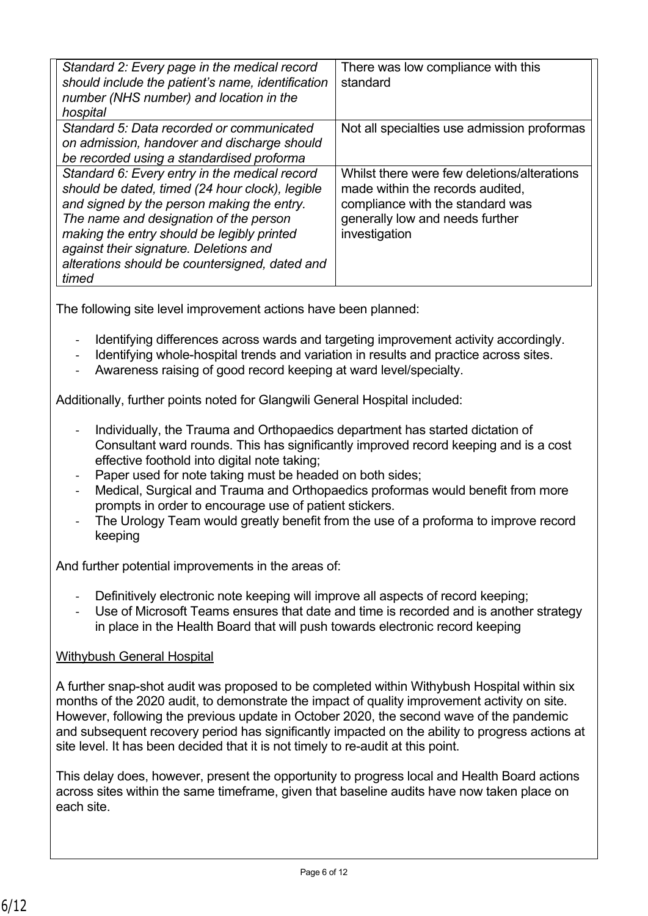| Standard 2: Every page in the medical record<br>should include the patient's name, identification<br>number (NHS number) and location in the<br>hospital                                                                                                                                                                                    | There was low compliance with this<br>standard                                                                                                                          |
|---------------------------------------------------------------------------------------------------------------------------------------------------------------------------------------------------------------------------------------------------------------------------------------------------------------------------------------------|-------------------------------------------------------------------------------------------------------------------------------------------------------------------------|
| Standard 5: Data recorded or communicated<br>on admission, handover and discharge should<br>be recorded using a standardised proforma                                                                                                                                                                                                       | Not all specialties use admission proformas                                                                                                                             |
| Standard 6: Every entry in the medical record<br>should be dated, timed (24 hour clock), legible<br>and signed by the person making the entry.<br>The name and designation of the person<br>making the entry should be legibly printed<br>against their signature. Deletions and<br>alterations should be countersigned, dated and<br>timed | Whilst there were few deletions/alterations<br>made within the records audited,<br>compliance with the standard was<br>generally low and needs further<br>investigation |

The following site level improvement actions have been planned:

- Identifying differences across wards and targeting improvement activity accordingly.
- Identifying whole-hospital trends and variation in results and practice across sites.
- Awareness raising of good record keeping at ward level/specialty.

Additionally, further points noted for Glangwili General Hospital included:

- Individually, the Trauma and Orthopaedics department has started dictation of Consultant ward rounds. This has significantly improved record keeping and is a cost effective foothold into digital note taking;
- Paper used for note taking must be headed on both sides:
- Medical, Surgical and Trauma and Orthopaedics proformas would benefit from more prompts in order to encourage use of patient stickers.
- The Urology Team would greatly benefit from the use of a proforma to improve record keeping

And further potential improvements in the areas of:

- Definitively electronic note keeping will improve all aspects of record keeping;
- Use of Microsoft Teams ensures that date and time is recorded and is another strategy in place in the Health Board that will push towards electronic record keeping

# Withybush General Hospital

A further snap-shot audit was proposed to be completed within Withybush Hospital within six months of the 2020 audit, to demonstrate the impact of quality improvement activity on site. However, following the previous update in October 2020, the second wave of the pandemic and subsequent recovery period has significantly impacted on the ability to progress actions at site level. It has been decided that it is not timely to re-audit at this point.

This delay does, however, present the opportunity to progress local and Health Board actions across sites within the same timeframe, given that baseline audits have now taken place on each site.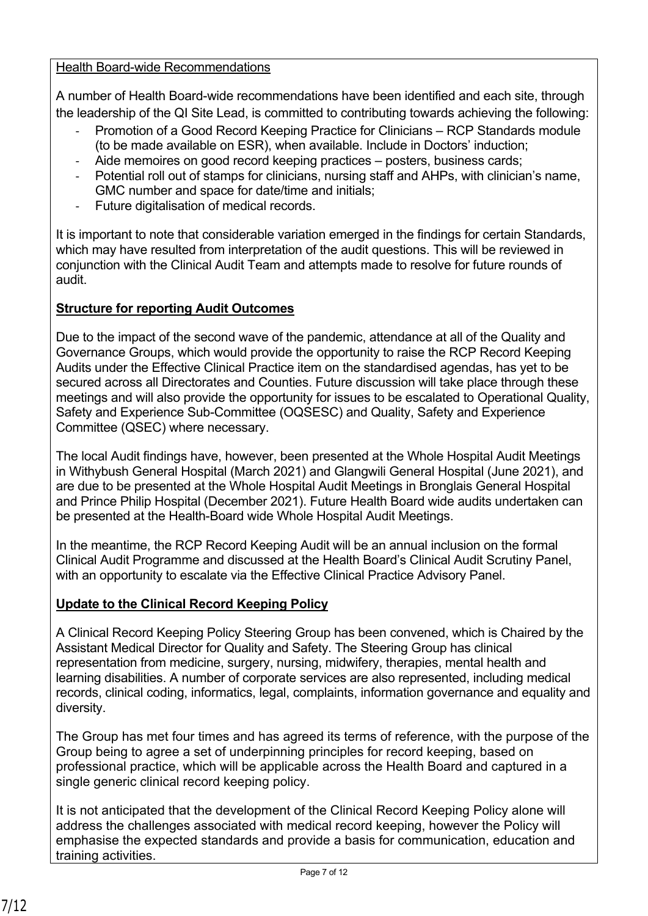Health Board-wide Recommendations

A number of Health Board-wide recommendations have been identified and each site, through the leadership of the QI Site Lead, is committed to contributing towards achieving the following:

- Promotion of a Good Record Keeping Practice for Clinicians RCP Standards module (to be made available on ESR), when available. Include in Doctors' induction;
- Aide memoires on good record keeping practices posters, business cards;
- Potential roll out of stamps for clinicians, nursing staff and AHPs, with clinician's name, GMC number and space for date/time and initials;
- Future digitalisation of medical records.

It is important to note that considerable variation emerged in the findings for certain Standards, which may have resulted from interpretation of the audit questions. This will be reviewed in conjunction with the Clinical Audit Team and attempts made to resolve for future rounds of audit.

# **Structure for reporting Audit Outcomes**

Due to the impact of the second wave of the pandemic, attendance at all of the Quality and Governance Groups, which would provide the opportunity to raise the RCP Record Keeping Audits under the Effective Clinical Practice item on the standardised agendas, has yet to be secured across all Directorates and Counties. Future discussion will take place through these meetings and will also provide the opportunity for issues to be escalated to Operational Quality, Safety and Experience Sub-Committee (OQSESC) and Quality, Safety and Experience Committee (QSEC) where necessary.

The local Audit findings have, however, been presented at the Whole Hospital Audit Meetings in Withybush General Hospital (March 2021) and Glangwili General Hospital (June 2021), and are due to be presented at the Whole Hospital Audit Meetings in Bronglais General Hospital and Prince Philip Hospital (December 2021). Future Health Board wide audits undertaken can be presented at the Health-Board wide Whole Hospital Audit Meetings.

In the meantime, the RCP Record Keeping Audit will be an annual inclusion on the formal Clinical Audit Programme and discussed at the Health Board's Clinical Audit Scrutiny Panel, with an opportunity to escalate via the Effective Clinical Practice Advisory Panel.

### **Update to the Clinical Record Keeping Policy**

A Clinical Record Keeping Policy Steering Group has been convened, which is Chaired by the Assistant Medical Director for Quality and Safety. The Steering Group has clinical representation from medicine, surgery, nursing, midwifery, therapies, mental health and learning disabilities. A number of corporate services are also represented, including medical records, clinical coding, informatics, legal, complaints, information governance and equality and diversity.

The Group has met four times and has agreed its terms of reference, with the purpose of the Group being to agree a set of underpinning principles for record keeping, based on professional practice, which will be applicable across the Health Board and captured in a single generic clinical record keeping policy.

It is not anticipated that the development of the Clinical Record Keeping Policy alone will address the challenges associated with medical record keeping, however the Policy will emphasise the expected standards and provide a basis for communication, education and training activities.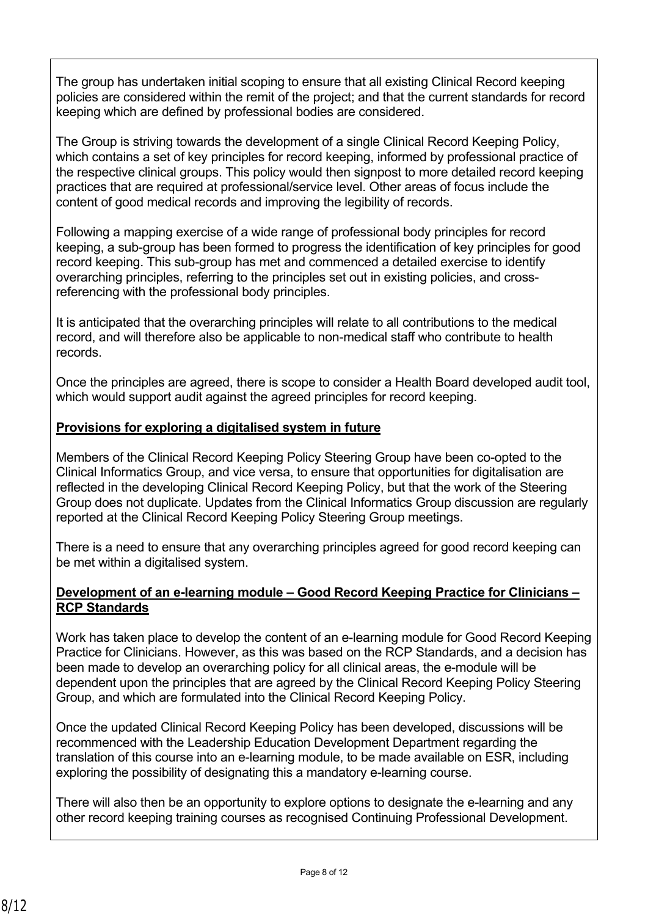The group has undertaken initial scoping to ensure that all existing Clinical Record keeping policies are considered within the remit of the project; and that the current standards for record keeping which are defined by professional bodies are considered.

The Group is striving towards the development of a single Clinical Record Keeping Policy, which contains a set of key principles for record keeping, informed by professional practice of the respective clinical groups. This policy would then signpost to more detailed record keeping practices that are required at professional/service level. Other areas of focus include the content of good medical records and improving the legibility of records.

Following a mapping exercise of a wide range of professional body principles for record keeping, a sub-group has been formed to progress the identification of key principles for good record keeping. This sub-group has met and commenced a detailed exercise to identify overarching principles, referring to the principles set out in existing policies, and crossreferencing with the professional body principles.

It is anticipated that the overarching principles will relate to all contributions to the medical record, and will therefore also be applicable to non-medical staff who contribute to health records.

Once the principles are agreed, there is scope to consider a Health Board developed audit tool, which would support audit against the agreed principles for record keeping.

## **Provisions for exploring a digitalised system in future**

Members of the Clinical Record Keeping Policy Steering Group have been co-opted to the Clinical Informatics Group, and vice versa, to ensure that opportunities for digitalisation are reflected in the developing Clinical Record Keeping Policy, but that the work of the Steering Group does not duplicate. Updates from the Clinical Informatics Group discussion are regularly reported at the Clinical Record Keeping Policy Steering Group meetings.

There is a need to ensure that any overarching principles agreed for good record keeping can be met within a digitalised system.

#### **Development of an e-learning module – Good Record Keeping Practice for Clinicians – RCP Standards**

Work has taken place to develop the content of an e-learning module for Good Record Keeping Practice for Clinicians. However, as this was based on the RCP Standards, and a decision has been made to develop an overarching policy for all clinical areas, the e-module will be dependent upon the principles that are agreed by the Clinical Record Keeping Policy Steering Group, and which are formulated into the Clinical Record Keeping Policy.

Once the updated Clinical Record Keeping Policy has been developed, discussions will be recommenced with the Leadership Education Development Department regarding the translation of this course into an e-learning module, to be made available on ESR, including exploring the possibility of designating this a mandatory e-learning course.

There will also then be an opportunity to explore options to designate the e-learning and any other record keeping training courses as recognised Continuing Professional Development.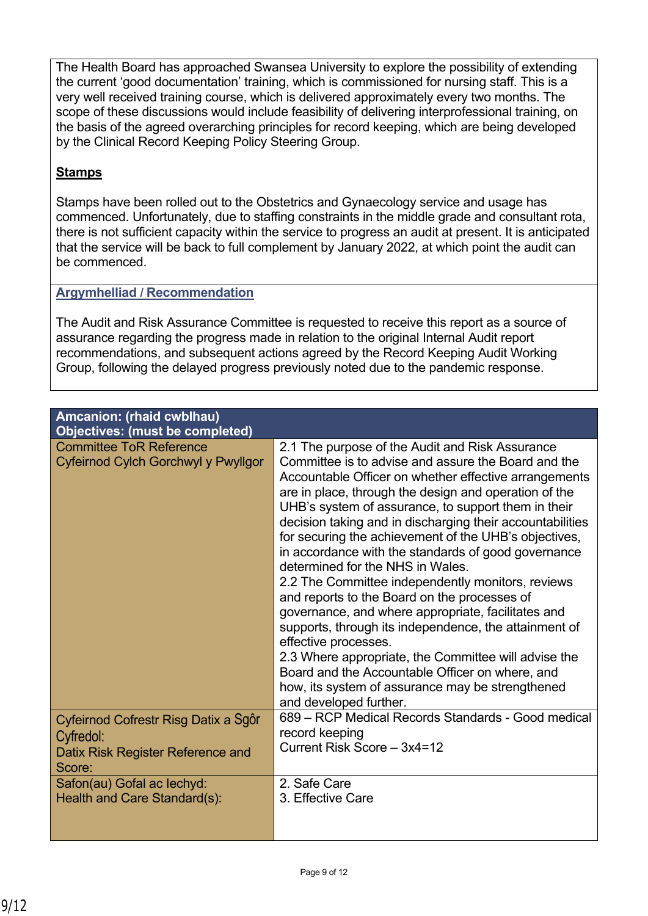The Health Board has approached Swansea University to explore the possibility of extending the current 'good documentation' training, which is commissioned for nursing staff. This is a very well received training course, which is delivered approximately every two months. The scope of these discussions would include feasibility of delivering interprofessional training, on the basis of the agreed overarching principles for record keeping, which are being developed by the Clinical Record Keeping Policy Steering Group.

# **Stamps**

Stamps have been rolled out to the Obstetrics and Gynaecology service and usage has commenced. Unfortunately, due to staffing constraints in the middle grade and consultant rota, there is not sufficient capacity within the service to progress an audit at present. It is anticipated that the service will be back to full complement by January 2022, at which point the audit can be commenced.

## **Argymhelliad / Recommendation**

The Audit and Risk Assurance Committee is requested to receive this report as a source of assurance regarding the progress made in relation to the original Internal Audit report recommendations, and subsequent actions agreed by the Record Keeping Audit Working Group, following the delayed progress previously noted due to the pandemic response.

| <b>Amcanion: (rhaid cwblhau)</b><br><b>Objectives: (must be completed)</b>                       |                                                                                                                                                                                                                                                                                                                                                                                                                                                                                                                                                                                                                                                                                                                                                                                                                                                                                                                                       |
|--------------------------------------------------------------------------------------------------|---------------------------------------------------------------------------------------------------------------------------------------------------------------------------------------------------------------------------------------------------------------------------------------------------------------------------------------------------------------------------------------------------------------------------------------------------------------------------------------------------------------------------------------------------------------------------------------------------------------------------------------------------------------------------------------------------------------------------------------------------------------------------------------------------------------------------------------------------------------------------------------------------------------------------------------|
| <b>Committee ToR Reference</b><br>Cyfeirnod Cylch Gorchwyl y Pwyllgor                            | 2.1 The purpose of the Audit and Risk Assurance<br>Committee is to advise and assure the Board and the<br>Accountable Officer on whether effective arrangements<br>are in place, through the design and operation of the<br>UHB's system of assurance, to support them in their<br>decision taking and in discharging their accountabilities<br>for securing the achievement of the UHB's objectives,<br>in accordance with the standards of good governance<br>determined for the NHS in Wales.<br>2.2 The Committee independently monitors, reviews<br>and reports to the Board on the processes of<br>governance, and where appropriate, facilitates and<br>supports, through its independence, the attainment of<br>effective processes.<br>2.3 Where appropriate, the Committee will advise the<br>Board and the Accountable Officer on where, and<br>how, its system of assurance may be strengthened<br>and developed further. |
| Cyfeirnod Cofrestr Risg Datix a Sgôr<br>Cyfredol:<br>Datix Risk Register Reference and<br>Score: | 689 – RCP Medical Records Standards - Good medical<br>record keeping<br>Current Risk Score - 3x4=12                                                                                                                                                                                                                                                                                                                                                                                                                                                                                                                                                                                                                                                                                                                                                                                                                                   |
| Safon(au) Gofal ac lechyd:<br>Health and Care Standard(s):                                       | 2. Safe Care<br>3. Effective Care                                                                                                                                                                                                                                                                                                                                                                                                                                                                                                                                                                                                                                                                                                                                                                                                                                                                                                     |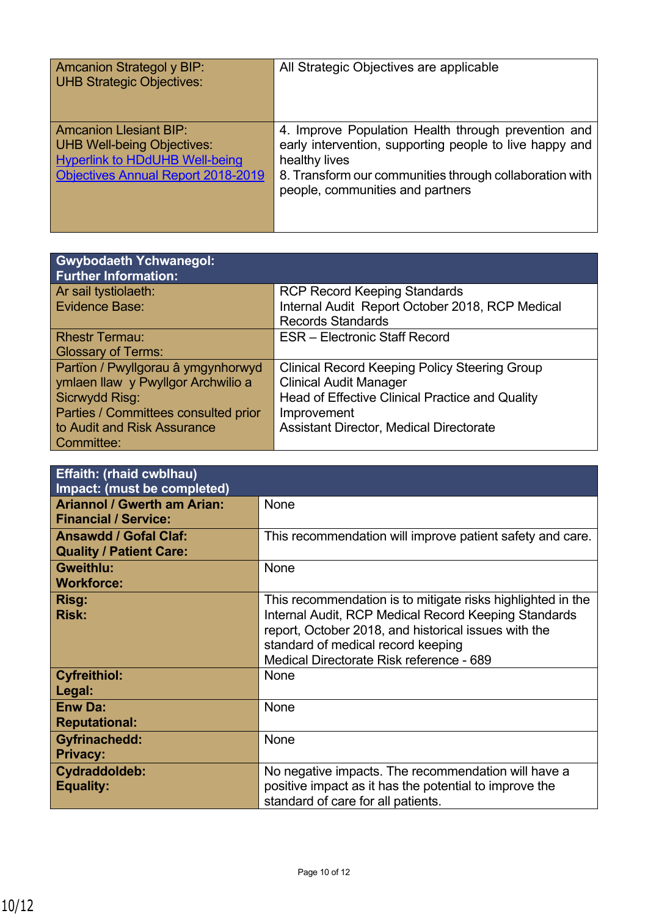| <b>Amcanion Strategol y BIP:</b><br><b>UHB Strategic Objectives:</b>                                                                                     | All Strategic Objectives are applicable                                                                                                                                                                                        |
|----------------------------------------------------------------------------------------------------------------------------------------------------------|--------------------------------------------------------------------------------------------------------------------------------------------------------------------------------------------------------------------------------|
| <b>Amcanion Llesiant BIP:</b><br><b>UHB Well-being Objectives:</b><br><b>Hyperlink to HDdUHB Well-being</b><br><b>Objectives Annual Report 2018-2019</b> | 4. Improve Population Health through prevention and<br>early intervention, supporting people to live happy and<br>healthy lives<br>8. Transform our communities through collaboration with<br>people, communities and partners |

| <b>Gwybodaeth Ychwanegol:</b><br><b>Further Information:</b> |                                                      |
|--------------------------------------------------------------|------------------------------------------------------|
| Ar sail tystiolaeth:                                         | <b>RCP Record Keeping Standards</b>                  |
| Evidence Base:                                               | Internal Audit Report October 2018, RCP Medical      |
|                                                              | <b>Records Standards</b>                             |
| <b>Rhestr Termau:</b>                                        | <b>ESR</b> – Electronic Staff Record                 |
| <b>Glossary of Terms:</b>                                    |                                                      |
| Partïon / Pwyllgorau â ymgynhorwyd                           | <b>Clinical Record Keeping Policy Steering Group</b> |
| ymlaen llaw y Pwyllgor Archwilio a                           | <b>Clinical Audit Manager</b>                        |
| Sicrwydd Risg:                                               | Head of Effective Clinical Practice and Quality      |
| Parties / Committees consulted prior                         | Improvement                                          |
| to Audit and Risk Assurance                                  | Assistant Director, Medical Directorate              |
| Committee:                                                   |                                                      |

| <b>Effaith: (rhaid cwblhau)</b><br>Impact: (must be completed)    |                                                                                                                                                                                                                                                               |
|-------------------------------------------------------------------|---------------------------------------------------------------------------------------------------------------------------------------------------------------------------------------------------------------------------------------------------------------|
| <b>Ariannol / Gwerth am Arian:</b><br><b>Financial / Service:</b> | None                                                                                                                                                                                                                                                          |
| <b>Ansawdd / Gofal Claf:</b><br><b>Quality / Patient Care:</b>    | This recommendation will improve patient safety and care.                                                                                                                                                                                                     |
| <b>Gweithlu:</b><br><b>Workforce:</b>                             | None                                                                                                                                                                                                                                                          |
| Risg:<br><b>Risk:</b>                                             | This recommendation is to mitigate risks highlighted in the<br>Internal Audit, RCP Medical Record Keeping Standards<br>report, October 2018, and historical issues with the<br>standard of medical record keeping<br>Medical Directorate Risk reference - 689 |
| <b>Cyfreithiol:</b><br>Legal:                                     | <b>None</b>                                                                                                                                                                                                                                                   |
| <b>Enw Da:</b><br><b>Reputational:</b>                            | None                                                                                                                                                                                                                                                          |
| <b>Gyfrinachedd:</b><br><b>Privacy:</b>                           | None                                                                                                                                                                                                                                                          |
| Cydraddoldeb:<br><b>Equality:</b>                                 | No negative impacts. The recommendation will have a<br>positive impact as it has the potential to improve the<br>standard of care for all patients.                                                                                                           |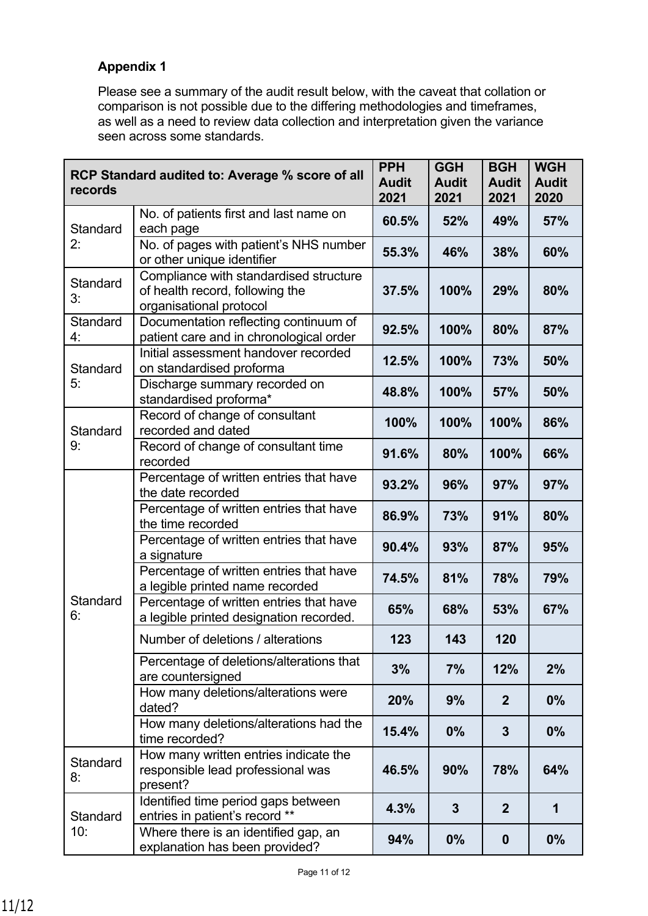# **Appendix 1**

Please see a summary of the audit result below, with the caveat that collation or comparison is not possible due to the differing methodologies and timeframes, as well as a need to review data collection and interpretation given the variance seen across some standards.

| RCP Standard audited to: Average % score of all<br>records |                                                                                                      | <b>PPH</b><br><b>Audit</b><br>2021 | <b>GGH</b><br><b>Audit</b><br>2021 | <b>BGH</b><br><b>Audit</b><br>2021 | <b>WGH</b><br><b>Audit</b><br>2020 |
|------------------------------------------------------------|------------------------------------------------------------------------------------------------------|------------------------------------|------------------------------------|------------------------------------|------------------------------------|
| Standard                                                   | No. of patients first and last name on<br>each page                                                  | 60.5%                              | 52%                                | 49%                                | 57%                                |
| 2:                                                         | No. of pages with patient's NHS number<br>or other unique identifier                                 | 55.3%                              | 46%                                | 38%                                | 60%                                |
| <b>Standard</b><br>3:                                      | Compliance with standardised structure<br>of health record, following the<br>organisational protocol |                                    | 100%                               | 29%                                | 80%                                |
| Standard<br>4:                                             | Documentation reflecting continuum of<br>patient care and in chronological order                     | 92.5%                              | 100%                               | 80%                                | 87%                                |
| Standard                                                   | Initial assessment handover recorded<br>on standardised proforma                                     | 12.5%                              | 100%                               | 73%                                | 50%                                |
| 5:                                                         | Discharge summary recorded on<br>standardised proforma*                                              | 48.8%                              | 100%                               | 57%                                | 50%                                |
| Standard                                                   | Record of change of consultant<br>recorded and dated                                                 | 100%                               | 100%                               | 100%                               | 86%                                |
| 9:                                                         | Record of change of consultant time<br>recorded                                                      | 91.6%                              | 80%                                | 100%                               | 66%                                |
|                                                            | Percentage of written entries that have<br>the date recorded                                         | 93.2%                              | 96%                                | 97%                                | 97%                                |
|                                                            | Percentage of written entries that have<br>the time recorded                                         | 86.9%                              | 73%                                | 91%                                | 80%                                |
|                                                            | Percentage of written entries that have<br>a signature                                               | 90.4%                              | 93%                                | 87%                                | 95%                                |
|                                                            | Percentage of written entries that have<br>a legible printed name recorded                           | 74.5%                              | 81%                                | 78%                                | 79%                                |
| Standard<br>6:                                             | Percentage of written entries that have<br>a legible printed designation recorded.                   | 65%                                | 68%                                | 53%                                | 67%                                |
|                                                            | Number of deletions / alterations                                                                    | 123                                | 143                                | 120                                |                                    |
|                                                            | Percentage of deletions/alterations that<br>are countersigned                                        | 3%                                 | 7%                                 | 12%                                | 2%                                 |
|                                                            | How many deletions/alterations were<br>dated?                                                        | 20%                                | 9%                                 | $\mathbf{2}$                       | $0\%$                              |
|                                                            | How many deletions/alterations had the<br>time recorded?                                             | 15.4%                              | 0%                                 | 3                                  | 0%                                 |
| Standard<br>8:                                             | How many written entries indicate the<br>responsible lead professional was<br>present?               | 46.5%                              | 90%                                | 78%                                | 64%                                |
| Standard                                                   | Identified time period gaps between<br>entries in patient's record **                                | 4.3%                               | $\overline{3}$                     | $\overline{2}$                     | 1                                  |
| 10:                                                        | Where there is an identified gap, an<br>explanation has been provided?                               | 94%                                | 0%                                 | $\boldsymbol{0}$                   | 0%                                 |